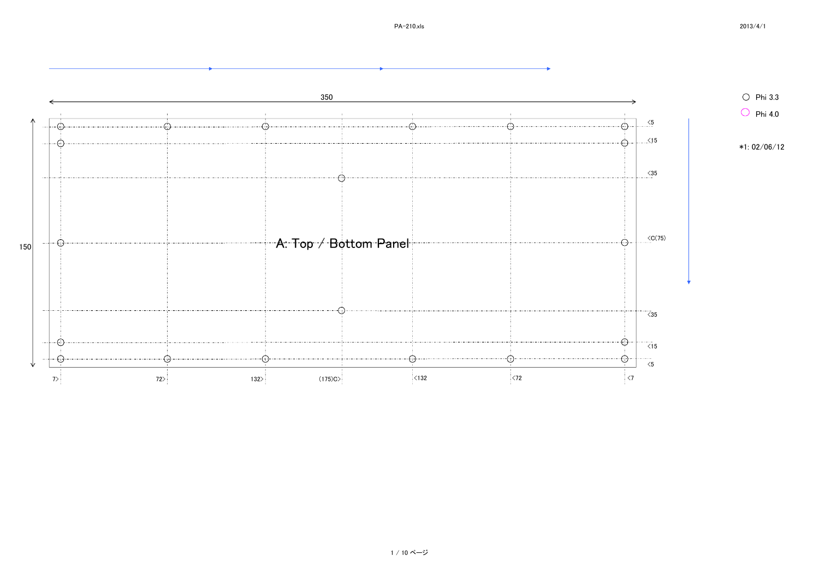s and the contract of  $2013/4/1$ 

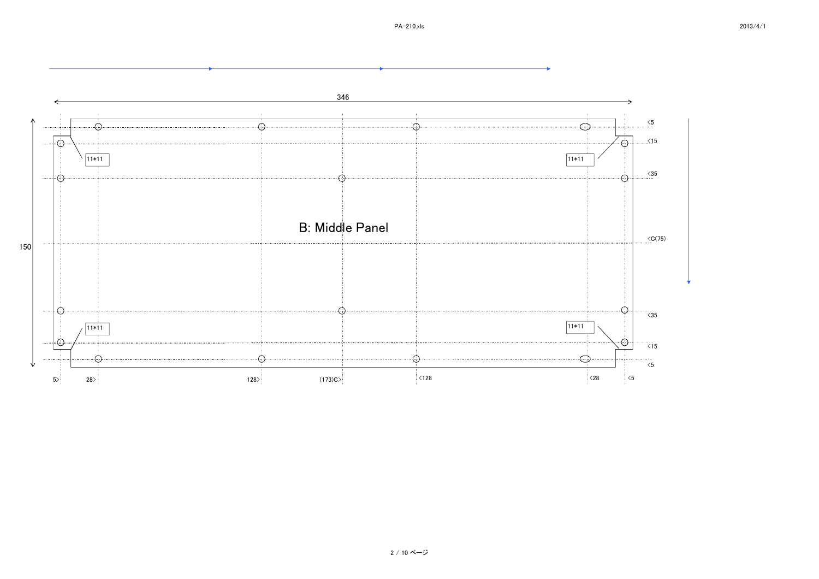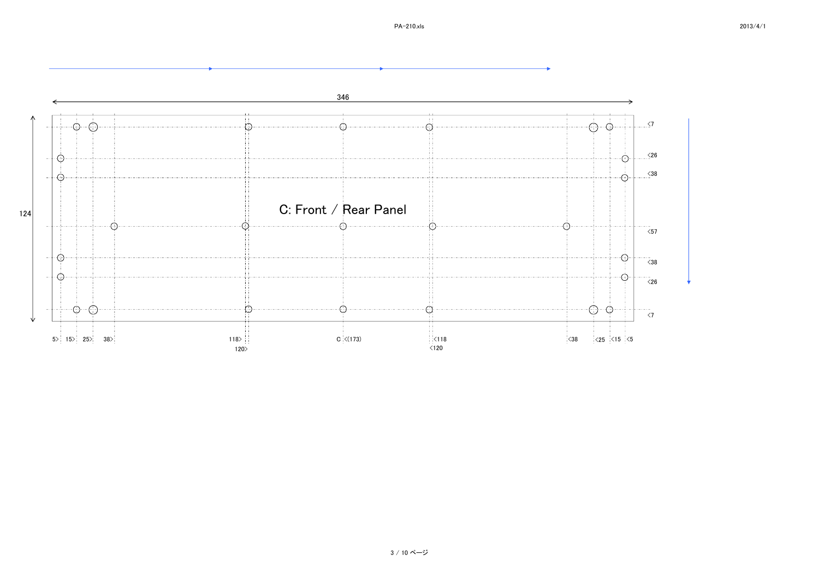

## 3 / 10 ページ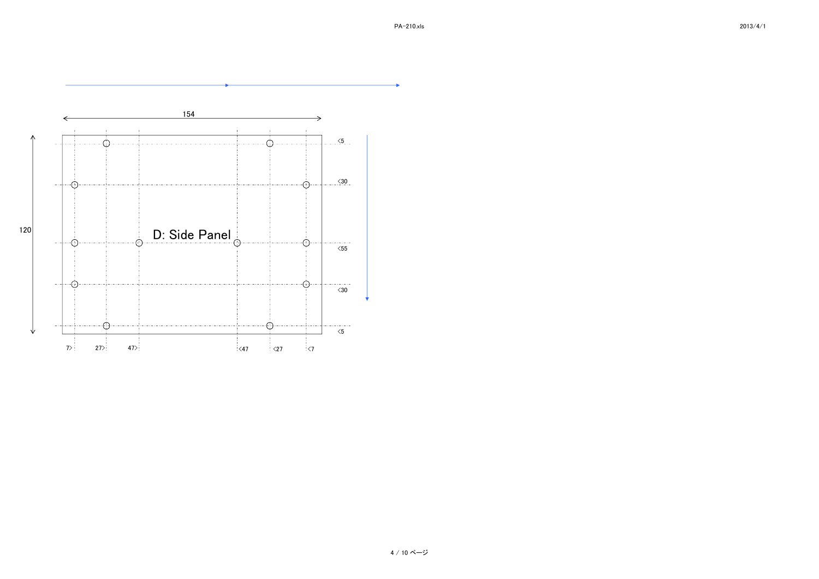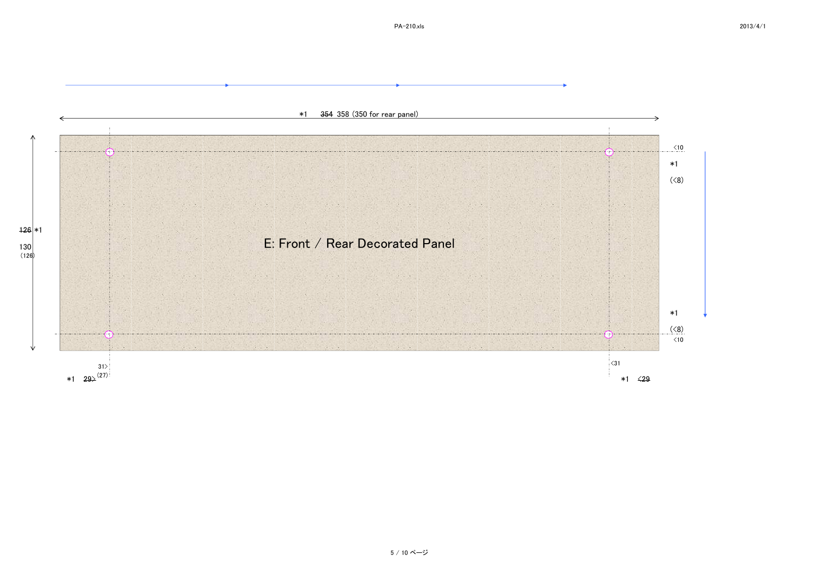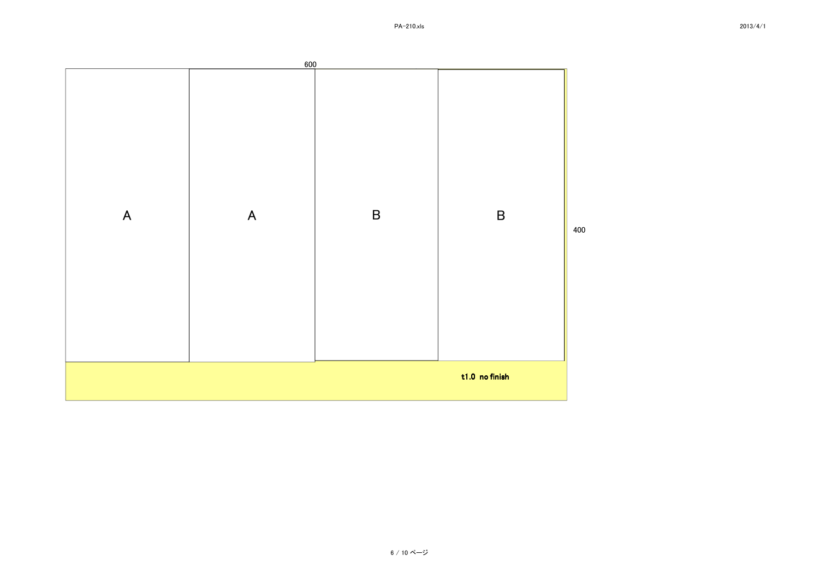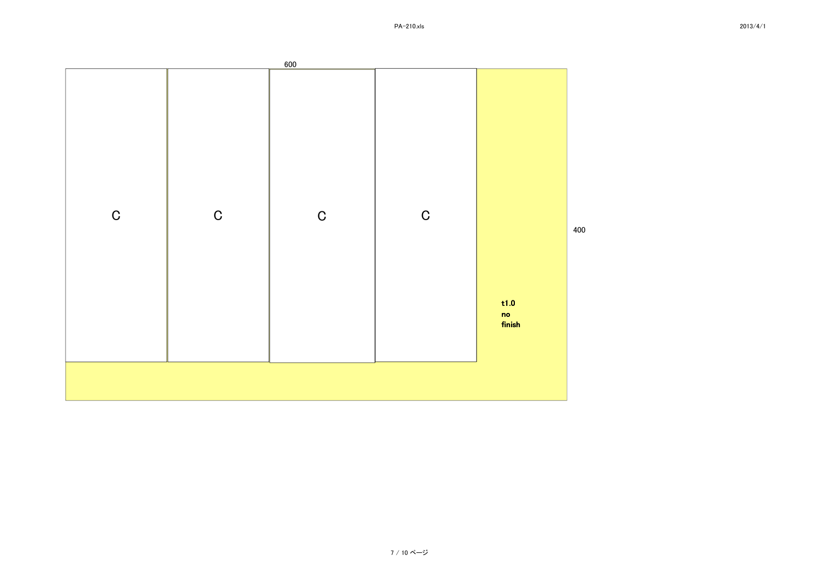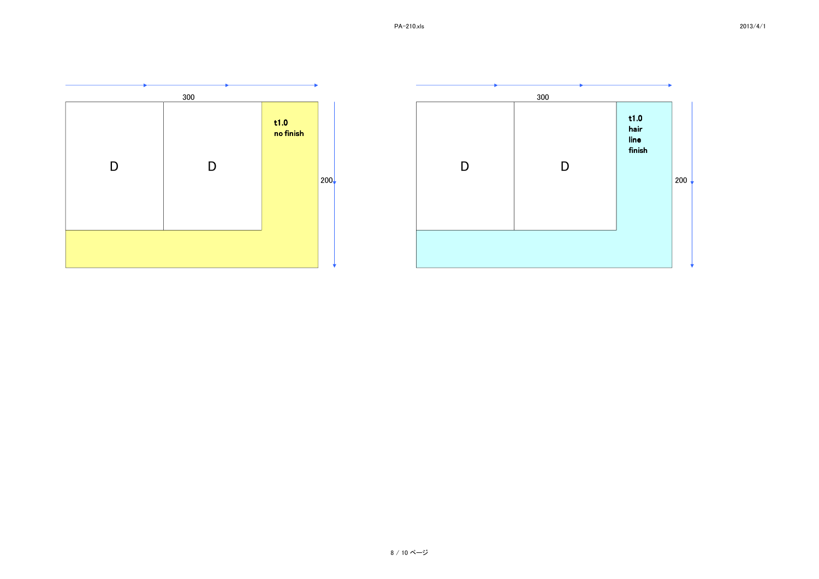

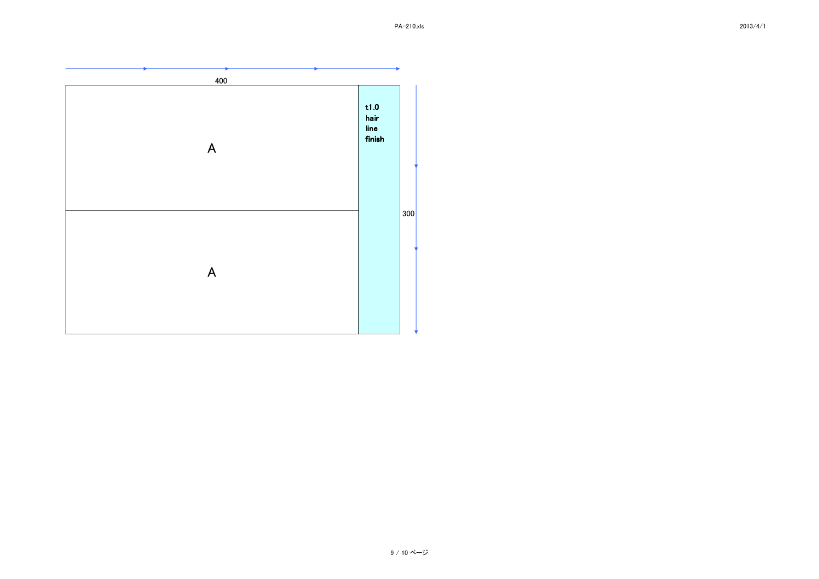